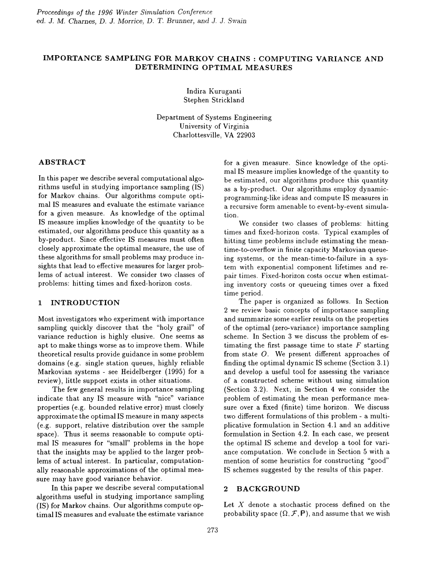# IMPORTANCE SAMPLING FOR MARKOV CHAINS: COMPUTING VARIANCE AND DETERMINING OPTIMAL MEASURES

Indira Kuruganti Stephen Strickland

Department of Systems Engineering University of Virginia Charlottesville, VA 22903

## ABSTRACT

In this paper we describe several computational algorithms useful in studying importance sampling (IS) for Markov chains. Our algorithms compute optimal IS measures and evaluate the estimate variance for a given measure. As knowledge of the optimal IS measure implies knowledge of the quantity to be estimated, our algorithms produce this quantity as a by-product. Since effective IS measures must often closely approximate the optimal measure, the use of these algorithms for small problems may produce insights that lead to effective measures for larger problems of actual interest. We consider two classes of problems: hitting times and fixed-horizon costs.

### 1 INTRODUCTION

Most investigators who experiment with importance sampling quickly discover that the "holy grail" of variance reduction is highly elusive. One seems as apt to make things worse as to improve them. While theoretical results provide guidance in some problem domains (e.g. single station queues, highly reliable Markovian systems - see Heidelberger (1995) for a review), little support exists in other situations.

The few general results in importance sampling indicate that any IS measure with "nice" variance properties (e.g. bounded relative error) must closely approximate the optimal IS measure in many aspects (e.g. support, relative distribution over the sample space). Thus it seems reasonable to compute optimal IS measures for "small" problems in the hope that the insights may be applied to the larger problems of actual interest. In particular, computationally reasonable approximations of the optimal measure may have good variance behavior.

In this paper we describe several computational algorithms useful in studying importance sampling (IS) for Markov chains. Our algorithms compute optimal IS measures and evaluate the estimate variance

for a given measure. Since knowledge of the optimal IS measure implies knowledge of the quantity to be estimated, our algorithms produce this quantity as a by-product. Our algorithms employ dynamicprogramming-like ideas and compute IS measures in a recursive form amenable to event-by-event simulation.

We consider two classes of problems: hitting times and fixed-horizon costs. Typical examples of hitting time problems include estimating the meantime-to-overflow in finite capacity Markovian queueing systems, or the mean-time-to-failure in a system with exponential component lifetimes and repair times. Fixed-horizon costs occur when estimating inventory costs or queueing times over a fixed time period.

The paper is organized as follows. In Section 2 we review basic concepts of importance sampling and summarize some earlier results on the properties of the optimal (zero-variance) importance sampling scheme. In Section 3 we discuss the problem of estimating the first passage time to state *F* starting from state  $O$ . We present different approaches of finding the optimal dynamic IS scheme (Section 3.1) and develop a useful tool for assessing the variance of a constructed scheme without using simulation (Section 3.2). Next, in Section 4 we consider the problem of estimating the mean performance measure over a fixed (finite) time horizon. We discuss two different formulations of this problem - a multiplicative formulation in Section 4.1 and an additive formulation in Section 4.2. In each case, we present the optimal IS scheme and develop a tool for variance computation. We conclude in Section 5 with a mention of some heuristics for constructing "good" IS schemes suggested by the results of this paper.

## 2 BACKGROUND

Let  $X$  denote a stochastic process defined on the probability space  $(\Omega, \mathcal{F}, P)$ , and assume that we wish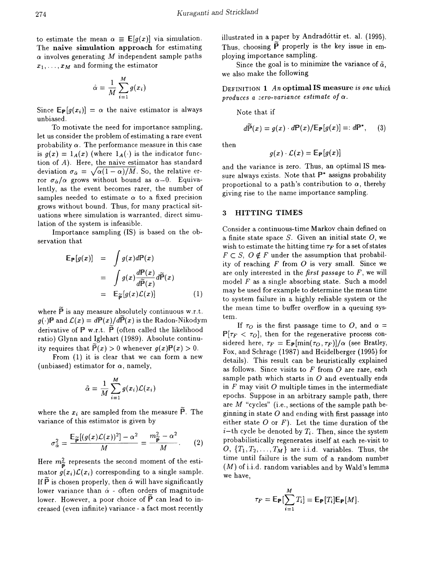to estimate the mean  $\alpha \equiv \mathbb{E}[g(x)]$  via simulation. The naive simulation approach for estimating *a* involves generating *M* independent sample paths  $x_1, \ldots, x_M$  and forming the estimator

$$
\hat{\alpha} = \frac{1}{M} \sum_{i=1}^{M} g(x_i)
$$

Since  $E_{\mathbf{P}}[g(x_i)] = \alpha$  the naive estimator is always unbiased.

To motivate the need for importance sampling, let us consider the problem of estimating a rare event probability  $\alpha$ . The performance measure in this case is  $g(x) = 1_A(x)$  (where  $1_A(\cdot)$  is the indicator function of A). Here, the naive estimator has standard deviation  $\sigma_{\hat{\alpha}} = \sqrt{\alpha(1 - \alpha)/M}$ . So, the relative error  $\sigma_{\alpha}/\alpha$  grows without bound as  $\alpha \rightarrow 0$ . Equivalently, as the event becomes rarer, the number of samples needed to estimate  $\alpha$  to a fixed precision grows without bound. Thus, for many practical situations where simulation is warranted, direct simulation of the system is infeasible.

Importance sampling (IS) is based on the observation that

$$
\mathbb{E}_{\mathbb{P}}[g(x)] = \int g(x)d\mathbb{P}(x)
$$
  
= 
$$
\int g(x)\frac{d\mathbb{P}(x)}{d\widetilde{\mathbb{P}}(x)}d\widetilde{\mathbb{P}}(x)
$$
  
= 
$$
\mathbb{E}_{\widetilde{\mathbb{P}}}[g(x)\mathcal{L}(x)]
$$
 (1)

where  $\widetilde{P}$  is any measure absolutely continuous w.r.t.  $g(\cdot)$ P and  $\mathcal{L}(x) = dP(x)/d\widetilde{P}(x)$  is the Radon-Nikodym derivative of  $P$  w.r.t.  $\tilde{P}$  (often called the likelihood ratio) Glynn and Iglehart (1989). Absolute continuity requires that  $\tilde{P}(x) > 0$  whenever  $g(x)P(x) > 0$ .

From (1) it is clear that we can form a new (unbiased) estimator for  $\alpha$ , namely,

$$
\tilde{\alpha} = \frac{1}{M} \sum_{i=1}^{M} g(x_i) \mathcal{L}(x_i)
$$

where the  $x_i$  are sampled from the measure  $\tilde{P}$ . The variance of this estimator is given by

$$
\sigma_{\tilde{\alpha}}^2 = \frac{\mathbb{E}_{\widetilde{\mathbf{p}}}[(g(x)\mathcal{L}(x))^2] - \alpha^2}{M} = \frac{m_{\widetilde{\mathbf{p}}}^2 - \alpha^2}{M}.
$$
 (2)

Here  $m_{\widetilde{P}}^2$  represents the second moment of the estimator  $g(x_i)\mathcal{L}(x_i)$  corresponding to a single sample. If  $\tilde{P}$  is chosen properly, then  $\tilde{\alpha}$  will have significantly lower variance than  $\hat{\alpha}$  - often orders of magnitude lower. However, a poor choice of  $\overline{P}$  can lead to increased (even infinite) variance - a fact most recently illustrated in a paper by Andradóttir et. al. (1995). Thus, choosing  $\tilde{P}$  properly is the key issue in employing importance sampling.

Since the goal is to minimize the variance of  $\tilde{\alpha}$ , we also make the following

DEFINITION 1 *An* optimal IS measure is *one which* produces a *zero-variance estimate* of  $\alpha$ .

Note that if

$$
d\widetilde{\mathbb{P}}(x) = g(x) \cdot d\mathbb{P}(x) / \mathbb{E}_{\mathbb{P}}[g(x)] =: d\mathbb{P}^*, \qquad (3)
$$

then

$$
g(x)\cdot \mathcal{L}(x)=\mathbb{E}_{\mathbb{P}}[g(x)]
$$

and the variance is zero. Thus, an optimal IS measure always exists. Note that  $\mathbb{P}^*$  assigns probability proportional to a path's contribution to  $\alpha$ , thereby giving rise to the name importance sampling.

### 3 HITTING TIMES

Consider a continuous-time Markov chain defined on a finite state space  $S$ . Given an initial state  $O$ , we wish to estimate the hitting time  $\tau_F$  for a set of states  $F \subset S$ ,  $O \notin F$  under the assumption that probability of reaching  $F$  from  $O$  is very small. Since we are only interested in the *first passage* to *F,* we will model  $F$  as a single absorbing state. Such a model may be used for example to determine the mean time to system failure in a highly reliable system or the the mean time to buffer overflow in a queuing system.

If  $\tau_O$  is the first passage time to O, and  $\alpha =$  $P[\tau_F < \tau_O]$ , then for the regenerative process considered here,  $\tau_F = \mathbb{E}_{\mathbb{P}}[\min(\tau_O, \tau_F)]/\alpha$  (see Bratley, Fox, and Schrage (1987) and Heidelberger (1995) for details). This result can be heuristically explained as follows. Since visits to  $F$  from  $O$  are rare, each sample path which starts in  $O$  and eventually ends in  $F$  may visit  $O$  multiple times in the intermediate epochs. Suppose in an arbitrary sample path, there are *M* "cycles" (i.e., sections of the sample path beginning in state  $O$  and ending with first passage into either state  $O$  or  $F$ ). Let the time duration of the *i*-th cycle be denoted by  $T_i$ . Then, since the system probabilistically regenerates itself at each re-visit to  $0, \{T_1, T_2, \ldots, T_M\}$  are i.i.d. variables. Thus, the time until failure is the sum of a random number  $(M)$  of i.i.d. random variables and by Wald's lemma we have,

$$
\tau_F = \mathsf{E}_{\mathsf{P}}[\sum_{i=1}^M T_i] = \mathsf{E}_{\mathsf{P}}[T_i] \mathsf{E}_{\mathsf{P}}[M].
$$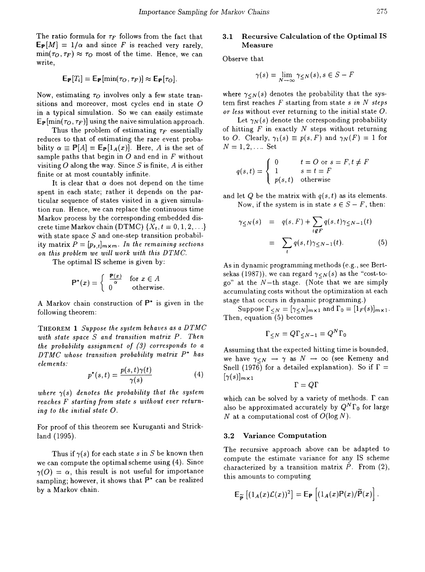The ratio formula for  $\tau_F$  follows from the fact that  $E_P[M] = 1/\alpha$  and since F is reached very rarely,  $\min(\tau_O, \tau_F) \approx \tau_O$  most of the time. Hence, we can write,

$$
\mathsf{E}_{\mathsf{P}}[T_i] = \mathsf{E}_{\mathsf{P}}[\min(\tau_O, \tau_F)] \approx \mathsf{E}_{\mathsf{P}}[\tau_O].
$$

Now, estimating  $\tau_O$  involves only a few state transitions and moreover, most cycles end in state  $O$ in a typical simulation. So we can easily estimate  $\mathbb{E}_{\mathbb{P}}[\min(\tau_O, \tau_F)]$  using the naive simulation approach.

Thus the problem of estimating  $\tau_F$  essentially reduces to that of estimating the rare event probability  $\alpha \equiv P[A] = \mathbb{E}_{\mathbb{P}}[1_A(x)]$ . Here, A is the set of sample paths that begin in  $O$  and end in  $F$  without visiting  $O$  along the way. Since  $S$  is finite,  $A$  is either finite or at most countably infinite.

It is clear that  $\alpha$  does not depend on the time spent in each state; rather it depends on the particular sequence of states visited in a given simulation run. Hence, we can replace the continuous time Markov process by the corresponding embedded discrete time Markov chain (DTMC)  $\{X_t, t = 0, 1, 2, \ldots\}$ with state space *5* and one-step transition probability matrix  $P = [p_{s,t}]_{m \times m}$ . In the remaining sections *on this problem we will work with this DTMC.*

The optimal IS scheme is given by:

$$
\mathbb{P}^*(x) = \begin{cases} \begin{array}{c} \frac{\mathbb{P}(x)}{\alpha} & \text{for } x \in A \\ 0 & \text{otherwise.} \end{array} \end{cases}
$$

A Markov chain construction of  $\mathbb{P}^*$  is given in the following theorem:

THEOREM 1 *Suppose the system behaves as a DTMC with state space S and transition matrix P. Then the probability assignment of* (3) *corresponds to a DTMC whose transition probability matrix P\* has elements:*

$$
p^*(s,t) = \frac{p(s,t)\gamma(t)}{\gamma(s)}
$$
(4)

*where*  $\gamma(s)$  *denotes the probability that the system reaches F starting from state s without ever returning to the initial state* O.

For proof of this theorem see Kuruganti and Strickland (1995).

Thus if  $\gamma(s)$  for each state *s* in *S* be known then we can compute the optimal scheme using (4). Since  $\gamma(0) = \alpha$ , this result is not useful for importance sampling; however, it shows that  $\mathbb{P}^*$  can be realized by a Markov chain.

### 3.1 Recursive Calculation of the Optimal IS Measure

Observe that

$$
\gamma(s) = \lim_{N \to \infty} \gamma_{\leq N}(s), s \in S - F
$$

where  $\gamma_{\leq N}(s)$  denotes the probability that the system first reaches *F* starting from state s *in N steps or less* without ever returning to the initial state O.

Let  $\gamma_N(s)$  denote the corresponding probability of hitting  $F$  in exactly  $N$  steps without returning to O. Clearly,  $\gamma_1(s) \equiv p(s, F)$  and  $\gamma_N(F) = 1$  for  $N = 1, 2, \ldots$  Set

$$
q(s,t) = \begin{cases} 0 & t = O \text{ or } s = F, t \neq F \\ 1 & s = t = F \\ p(s,t) & \text{otherwise} \end{cases}
$$

and let  $Q$  be the matrix with  $q(s, t)$  as its elements. Now, if the system is in state  $s \in S - F$ , then:

$$
\gamma_{\leq N}(s) = q(s, F) + \sum_{t \notin F} q(s, t) \gamma_{\leq N-1}(t)
$$

$$
= \sum_{t} q(s, t) \gamma_{\leq N-1}(t). \tag{5}
$$

As in dynamic programming methods (e.g., see Bertsekas (1987)), we can regard  $\gamma < N(s)$  as the "cost-togo" at the *N*-th stage. (Note that we are simply accumulating costs without the optimization at each stage that occurs in dynamic programming.)

Suppose  $\Gamma_{\leq N} = [\gamma_{\leq N}]_{m \times 1}$  and  $\Gamma_0 = [1_F(s)]_{m \times 1}$ . Then, equation  $(5)$  becomes

$$
\Gamma_{\leq N} = Q\Gamma_{\leq N-1} = Q^N\Gamma_0
$$

Assuming that the expected hitting time is bounded, we have  $\gamma_{\leq N}$   $\rightarrow$   $\gamma$  as  $N$   $\rightarrow$   $\infty$  (see Kemeny and Snell (1976) for a detailed explanation). So if  $\Gamma =$  $[\gamma(s)]_{m\times 1}$ 

 $\Gamma=Q\Gamma$ 

which can be solved by a variety of methods.  $\Gamma$  can also be approximated accurately by  $Q^N\Gamma_0$  for large *N* at a computational cost of  $O(\log N)$ .

#### 3.2 Variance Computation

The recursive approach above can be adapted to compute the estimate variance for any IS scheme characterized by a transition matrix *P.* From (2), this amounts to computing

$$
\mathsf{E}_{\widetilde{\mathsf{P}}}\left[\left(1_A(x)\mathcal{L}(x)\right)^2\right] = \mathsf{E}_{\mathsf{P}}\left[\left(1_A(x)\mathsf{P}(x)\right)\widetilde{\mathsf{P}}(x)\right].
$$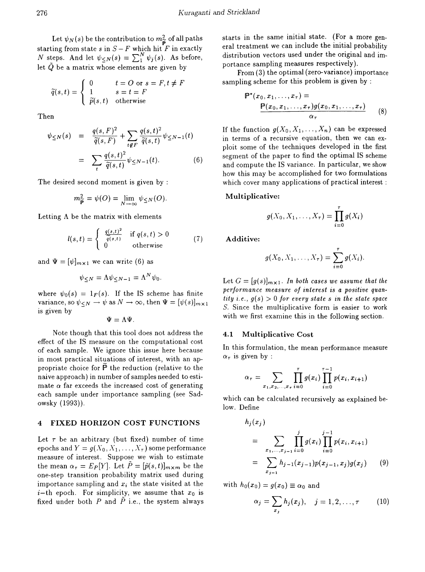Let  $\psi_N(s)$  be the contribution to  $m_{\widetilde{P}}^2$  of all paths starting from state  $s$  in  $S$  –  $F$  which hit  $F$  in exactly *N* steps. And let  $\psi_{\leq N}(s) = \sum_{1}^{N} \psi_j(s)$ . As before, let  $\tilde{Q}$  be a matrix whose elements are given by

$$
\widetilde{q}(s,t) = \begin{cases}\n0 & t = O \text{ or } s = F, t \neq F \\
1 & s = t = F \\
\widetilde{p}(s,t) & \text{otherwise}\n\end{cases}
$$
\nsampling scheme for this p\n
$$
\mathbf{P}^*(x_0, x_1, \dots, x_\tau) = \mathbf{P}^*(x_0, x_1, \dots, x_\tau)
$$

Then

$$
\psi_{\leq N}(s) = \frac{q(s, F)^2}{\widetilde{q}(s, F)} + \sum_{t \notin F} \frac{q(s, t)^2}{\widetilde{q}(s, t)} \psi_{\leq N - 1}(t)
$$

$$
= \sum_{t} \frac{q(s, t)^2}{\widetilde{q}(s, t)} \psi_{\leq N - 1}(t). \tag{6}
$$

The desired second moment is given by :

$$
m_{\widetilde{\mathbb{P}}}^2 = \psi(O) = \lim_{N \to \infty} \psi_{\leq N}(O).
$$

Letting  $\Lambda$  be the matrix with elements

$$
l(s,t) = \begin{cases} \frac{q(s,t)^2}{q(s,t)} & \text{if } q(s,t) > 0\\ 0 & \text{otherwise} \end{cases}
$$
(7)

and  $\Psi = [\psi]_{m \times 1}$  we can write (6) as

$$
\psi_{\leq N} = \Lambda \psi_{\leq N-1} = \Lambda^N \psi_0.
$$

where  $\psi_0(s) = 1_F(s)$ . If the IS scheme has finite variance, so  $\psi_{\leq N} \to \psi$  as  $N \to \infty$ , then  $\Psi = [\psi(s)]_{m \times 1}$ is given by

$$
\Psi=\Lambda\Psi.
$$

Note though that this tool does not address the effect of the IS measure on the computational cost of each sample. We ignore this issue here because in most practical situations of interest, with an appropriate choice for  $\tilde{P}$  the reduction (relative to the naive approach) in number of samples needed to estimate  $\alpha$  far exceeds the increased cost of generating each sample under importance sampling (see Sadowsky (1993)).

## 4 FIXED HORIZON COST FUNCTIONS

Let  $\tau$  be an arbitrary (but fixed) number of time epochs and  $Y = g(X_0, X_1, \ldots, X_\tau)$  some performance measure of interest. Suppose we wish to estimate the mean  $\alpha_{\tau} = E_P[Y]$ . Let  $\tilde{P} = [\tilde{p}(s,t)]_{m \times m}$  be the one-step transition probability matrix used during importance sampling and  $x_i$  the state visited at the  $i$ -th epoch. For simplicity, we assume that  $x_0$  is fixed under both  $P$  and  $\tilde{P}$  i.e., the system always

starts in the same initial state. (For a more general treatment we can include the initial probability distribution vectors used under the original and importance sampling measures respectively).

From (3) the optimal (zero-variance) importance sampling scheme for this problem is given by :

$$
\mathbf{P}^*(x_0, x_1, \dots, x_\tau) = \frac{\mathbf{P}(x_0, x_1, \dots, x_\tau)g(x_0, x_1, \dots, x_\tau)}{\alpha_\tau} \tag{8}
$$

If the function  $g(X_0, X_1, \ldots, X_n)$  can be expressed in terms of a recursive equation, then we can exploit some of the techniques developed in the first segment of the paper to find the optimal IS scheme and compute the IS variance. In particular, we show how this may be accomplished for two formulations which cover many applications of practical interest :

#### Multiplicative:

$$
g(X_0,X_1,\ldots,X_\tau)=\prod_{i=0}^\tau g(X_i)
$$

Additive:

$$
g(X_0, X_1, \ldots, X_{\tau}) = \sum_{i=0}^{\tau} g(X_i).
$$

Let  $G = [g(s)]_{m \times 1}$ . In both cases we assume that the *performance measure of interest is a positive quan* $tity$  *i.e.,*  $g(s) > 0$  *for every state s in the state space* S. Since the multiplicative form is easier to work with we first examine this in the following section.

#### 4.1 Multiplicative Cost

In this formulation, the mean performance measure  $\alpha_{\tau}$  is given by :

$$
\alpha_{\tau} = \sum_{x_1, x_2, \dots, x_{\tau}} \prod_{i=0}^{\tau} g(x_i) \prod_{i=0}^{\tau-1} p(x_i, x_{i+1})
$$

which can be calculated recursively as explained below. Define

$$
h_j(x_j)
$$
  
= 
$$
\sum_{x_1, ..., x_{j-1}} \prod_{i=0}^j g(x_i) \prod_{i=0}^{j-1} p(x_i, x_{i+1})
$$
  
= 
$$
\sum_{x_{j-1}} h_{j-1}(x_{j-1}) p(x_{j-1}, x_j) g(x_j)
$$
 (9)

with  $h_0(x_0) = g(x_0) \equiv \alpha_0$  and

$$
\alpha_j = \sum_{x_j} h_j(x_j), \quad j = 1, 2, \ldots, \tau \qquad (10)
$$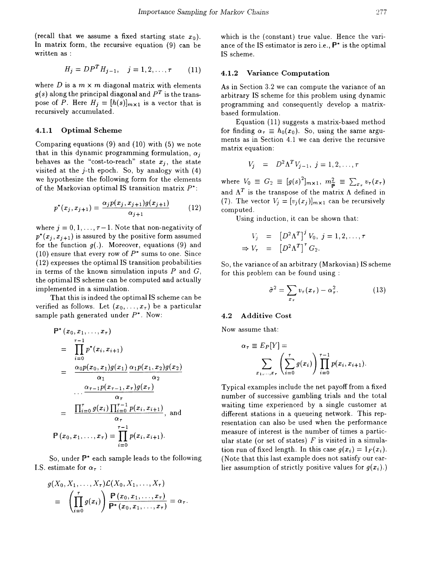(recall that we assume a fixed starting state  $x_0$ ). In matrix form, the recursive equation (9) can be written as :

$$
H_j = D P^T H_{j-1}, \quad j = 1, 2, \dots, \tau \tag{11}
$$

where D is a  $m \times m$  diagonal matrix with elements  $g(s)$  along the principal diagonal and  $P<sup>T</sup>$  is the transpose of P. Here  $H_j = [h(s)]_{m \times 1}$  is a vector that is recursively accumulated.

### 4.1.1 Optimal Scheme

Comparing equations (9) and (10) with (5) we note that in this dynamic programming formulation,  $\alpha_i$ behaves as the "cost-to-reach" state  $x_i$ , the state visited at the  $j$ -th epoch. So, by analogy with  $(4)$ we hypothesize the following form for the elements of the Markovian optimal IS transition matrix  $P^*$ :

$$
p^*(x_j, x_{j+1}) = \frac{\alpha_j p(x_j, x_{j+1}) g(x_{j+1})}{\alpha_{j+1}} \tag{12}
$$

where  $j = 0, 1, \ldots, \tau - 1$ . Note that non-negativity of  $p^*(x_i, x_{i+1})$  is assured by the positive form assumed for the function  $g(.)$ . Moreover, equations (9) and (10) ensure that every row of  $P^*$  sums to one. Since (12) expresses the optimal IS transition probabilities in terms of the known simulation inputs *P* and G, the optimal IS scheme can be computed and actually implemented in a simulation.

That this is indeed the optimal IS scheme can be verified as follows. Let  $(x_0, \ldots, x_{\tau})$  be a particular sample path generated under  $P^*$ . Now:

$$
\mathbb{P}^{*}(x_{0}, x_{1}, \ldots, x_{\tau})
$$
\n
$$
= \prod_{i=0}^{\tau-1} p^{*}(x_{i}, x_{i+1})
$$
\n
$$
= \frac{\alpha_{0} p(x_{0}, x_{1}) g(x_{1})}{\alpha_{1}} \frac{\alpha_{1} p(x_{1}, x_{2}) g(x_{2})}{\alpha_{2}}
$$
\n
$$
\ldots \frac{\alpha_{\tau-1} p(x_{\tau-1}, x_{\tau}) g(x_{\tau})}{\alpha_{\tau}}
$$
\n
$$
= \frac{\prod_{i=0}^{\tau} g(x_{i}) \prod_{i=0}^{\tau-1} p(x_{i}, x_{i+1})}{\alpha_{\tau}}, \text{ and}
$$
\n
$$
\mathbb{P}(x_{0}, x_{1}, \ldots, x_{\tau}) = \prod_{i=0}^{\tau-1} p(x_{i}, x_{i+1}).
$$

So, under P\* each sample leads to the following I.S. estimate for  $\alpha_{\tau}$ :

$$
g(X_0, X_1, \ldots, X_\tau) \mathcal{L}(X_0, X_1, \ldots, X_\tau)
$$
  
= 
$$
\left(\prod_{i=0}^\tau g(x_i)\right) \frac{\mathbb{P}(x_0, x_1, \ldots, x_\tau)}{\mathbb{P}^*(x_0, x_1, \ldots, x_\tau)} = \alpha_\tau.
$$

which is the (constant) true value. Hence the variance of the IS estimator is zero i.e.,  $P^*$  is the optimal IS scheme.

### 4.1.2 Variance Computation

As in Section 3.2 we can compute the variance of an arbitrary IS scheme for this problem using dynamic programming and consequently develop a matrixbased formulation.

Equation (11) suggests a matrix-based method for finding  $\alpha_{\tau} \equiv h_0(x_0)$ . So, using the same arguments as in Section 4.1 we can derive the recursive matrix equation:

$$
V_j = D^2 \Lambda^T V_{j-1}, \ j = 1, 2, \ldots, \tau
$$

where  $V_0 \equiv G_2 \equiv [g(s)^2]_{m \times 1}$ ,  $m_{\widetilde{p}}^2 \equiv \sum_{x, r} v_{\tau}(x_r)$ and  $\Lambda^T$  is the transpose of the matrix  $\Lambda$  defined in (7). The vector  $V_j = [v_j(x_j)]_{m \times 1}$  can be recursively computed.

Using induction, it can be shown that:

$$
V_j = [D^2 \Lambda^T]^j V_0, j = 1, 2, ..., \tau
$$
  
\n
$$
\Rightarrow V_\tau = [D^2 \Lambda^T]^T G_2.
$$

So, the variance of an arbitrary (Markovian) IS scheme for this problem can be found using:

$$
\tilde{\sigma}^2 = \sum_{x_{\tau}} v_{\tau}(x_{\tau}) - \alpha_{\tau}^2.
$$
 (13)

#### 4.2 Additive Cost

Now assume that:

$$
\alpha_{\tau} \equiv E_P[Y] = \sum_{x_1,\ldots,x_{\tau}} \left( \sum_{i=0}^{\tau} g(x_i) \right) \prod_{i=0}^{\tau-1} p(x_i,x_{i+1}).
$$

Typical examples include the net payoff from a fixed number of successive gambling trials and the total waiting time experienced by a single customer at different stations in a queueing network. This representation can also be used when the performance measure of interest is the number of times a particular state (or set of states)  $F$  is visited in a simulation run of fixed length. In this case  $g(x_i) = 1_F(x_i)$ . (Note that this last example does not satisfy our earlier assumption of strictly positive values for  $g(x_i)$ .)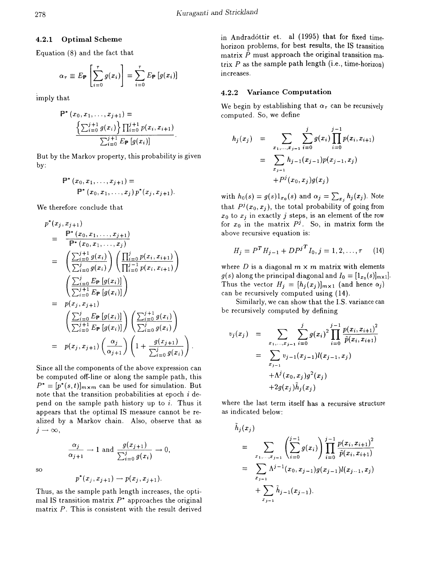## 4.2.1 Optimal Scheme

Equation (8) and the fact that

$$
\alpha_{\tau} \equiv E_{\mathbb{P}} \left[ \sum_{i=0}^{\tau} g(x_i) \right] = \sum_{i=0}^{\tau} E_{\mathbb{P}} \left[ g(x_i) \right]
$$

imply that

$$
\mathbb{P}^* (x_0, x_1, \dots, x_{j+1}) =
$$
  

$$
\frac{\left\{\sum_{i=0}^{j+1} g(x_i)\right\} \prod_{i=0}^{j+1} p(x_i, x_{i+1})}{\sum_{i=0}^{j+1} E_{\mathbb{P}} [g(x_i)]}
$$

But by the Markov property, this probability is given by:

$$
\mathbb{P}^* (x_0, x_1, \ldots, x_{j+1}) = \\ \mathbb{P}^* (x_0, x_1, \ldots, x_j) \, p^* (x_j, x_{j+1}).
$$

We therefore conclude that

$$
p^*(x_j, x_{j+1})
$$
\n
$$
= \frac{\mathbb{P}^*(x_0, x_1, \ldots, x_{j+1})}{\mathbb{P}^*(x_0, x_1, \ldots, x_j)}
$$
\n
$$
= \left(\frac{\sum_{i=0}^{j+1} g(x_i)}{\sum_{i=0}^{j} g(x_i)}\right) \left(\frac{\prod_{i=0}^{j} p(x_i, x_{i+1})}{\prod_{i=0}^{j-1} p(x_i, x_{i+1})}\right)
$$
\n
$$
= \left(\frac{\sum_{i=0}^{j} E_{\mathbb{P}}[g(x_i)]}{\sum_{i=0}^{j+1} E_{\mathbb{P}}[g(x_i)]}\right)
$$
\n
$$
= p(x_j, x_{j+1})
$$
\n
$$
\left(\frac{\sum_{i=0}^{j} E_{\mathbb{P}}[g(x_i)]}{\sum_{i=0}^{j+1} E_{\mathbb{P}}[g(x_i)]}\right) \left(\frac{\sum_{i=0}^{j+1} g(x_i)}{\sum_{i=0}^{j} g(x_i)}\right)
$$
\n
$$
= p(x_j, x_{j+1}) \left(\frac{\alpha_j}{\alpha_{j+1}}\right) \left(1 + \frac{g(x_{j+1})}{\sum_{i=0}^{j} g(x_i)}\right)
$$

Since all the components of the above expression can be computed off-line or along the sample path, this  $P^* = [p^*(s,t)]_{m \times m}$  can be used for simulation. But note that the transition probabilities at epoch  $i$  depend on the sample path history up to  $i$ . Thus it appears that the optimal IS measure cannot be realized by a Markov chain. Also, observe that as  $j \rightarrow \infty$ ,

so

$$
p^*(x_j, x_{j+1}) \rightarrow p(x_j, x_{j+1}).
$$

 $\frac{\alpha_j}{\alpha_{j+1}} \to 1$  and  $\frac{g(x_{j+1})}{\sum_{i=0}^j g(x_i)} \to 0$ ,

Thus, as the sample path length increases, the optimal IS transition matrix  $P^*$  approaches the original matrix *P*. This is consistent with the result derived

in Andradóttir et. al (1995) that for fixed timehorizon problems, for best results, the IS transition matrix  $\tilde{P}$  must approach the original transition matrix *P* as the sample path length (i.e., time-horizon) increases.

## 4.2.2 Variance Computation

We begin by establishing that  $\alpha_{\tau}$  can be recursively computed. So, we define

$$
h_j(x_j) = \sum_{\substack{x_1, \dots, x_{j-1} \\ x_{j-1}}} \sum_{i=0}^j g(x_i) \prod_{i=0}^{j-1} p(x_i, x_{i+1})
$$
  
= 
$$
\sum_{\substack{x_{j-1} \\ x_{j-1}}} h_{j-1}(x_{j-1}) p(x_{j-1}, x_j)
$$
  
+ 
$$
P^j(x_0, x_j) g(x_j)
$$

with  $h_0(s) = g(s)1_{x_0}(s)$  and  $\alpha_j = \sum_{x_j} h_j(x_j)$ . Note that  $P^{j}(x_0, x_j)$ , the total probability of going from  $x_0$  to  $x_j$  in exactly j steps, is an element of the row for  $x_0$  in the matrix  $P^j$ . So, in matrix form the above recursive equation is:

$$
H_j = P^T H_{j-1} + D P^{j}{}^T I_0, j = 1, 2, \dots, \tau \tag{14}
$$

where D is a diagonal  $m \times m$  matrix with elements  $g(s)$  along the principal diagonal and  $I_0 = [1_{x_0}(s)]_{m \times 1}$ . Thus the vector  $H_j = [h_j(x_j)]_{m \times 1}$  (and hence  $\alpha_j$ ) can be recursively computed using (14).

Similarly, we can show that the 1.5. variance can be recursively computed by defining

$$
v_j(x_j) = \sum_{x_1, \dots, x_{j-1}} \sum_{i=0}^j g(x_i)^2 \prod_{i=0}^{j-1} \frac{p(x_i, x_{i+1})^2}{\tilde{p}(x_i, x_{i+1})}
$$
  

$$
= \sum_{x_{j-1}} v_{j-1}(x_{j-1}) l(x_{j-1}, x_j)
$$

$$
+ \Lambda^j(x_0, x_j) g^2(x_j)
$$

$$
+ 2g(x_j) \tilde{h}_j(x_j)
$$

where the last term itself has a recursive structure as indicated below:

$$
h_j(x_j)
$$
  
= 
$$
\sum_{x_1, \dots, x_{j-1}} \left( \sum_{i=0}^{j-1} g(x_i) \right) \prod_{i=0}^{j-1} \frac{p(x_i, x_{i+1})^2}{\tilde{p}(x_i, x_{i+1})}
$$
  
= 
$$
\sum_{x_{j-1}} \Lambda^{j-1}(x_0, x_{j-1}) g(x_{j-1}) l(x_{j-1}, x_j)
$$
  
+ 
$$
\sum_{x_{j-1}} \tilde{h}_{j-1}(x_{j-1}).
$$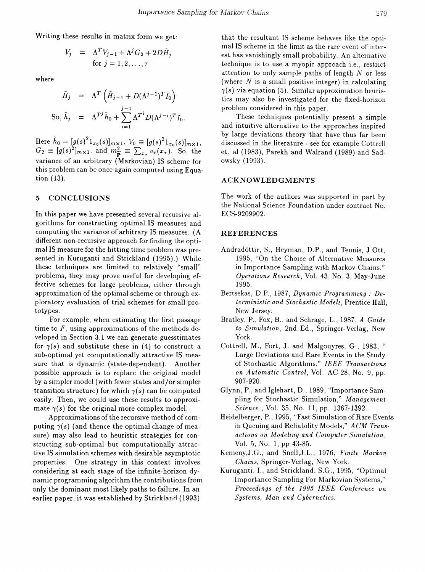Writing these results in matrix form we get:

$$
V_j = \Lambda^T V_{j-1} + \Lambda^j G_2 + 2D\tilde{H}_j
$$
  
for  $j = 1, 2, ..., \tau$ 

where

$$
\tilde{H}_j = \Lambda^T \left( \tilde{H}_{j-1} + D(\Lambda^{j-1})^T I_0 \right)
$$
  
So,  $\tilde{h}_j = \Lambda^{Tj} \tilde{h}_0 + \sum_{i=1}^{j-1} \Lambda^{T^i} D(\Lambda^{j-i})^T I_0$ 

 $\text{Here} \,\, \tilde{h}_0 = [g(s)^2 1_{x_0}(s)]_{m \times 1}, \, V_0 \equiv [g(s)^2 1_{x_0}(s)]_{m \times 1},$  $G_2 \equiv [g(s)^2]_{m \times 1}$ , and  $m_{\widetilde{p}}^2 \equiv \sum_{x_{\tau}} v_{\tau}(x_{\tau})$ . So, the variance of an arbitrary (Markovian) IS scheme for this problem can be once again computed using Equation (13).

#### 5 CONCLUSIONS

In this paper we have presented several recursive algorithms for constructing optimal IS measures and computing the variance of arbitrary IS measures. (A different non-recursive approach for finding the optimal IS measure for the hitting time problem was presented in Kuruganti and Strickland (1995).) While these techniques are limited to relatively "small" problems, they may prove useful for developing effective schemes for large problems, either through approximation of the optimal scheme or through exploratory evaluation of trial schemes for small prototypes.

For example, when estimating the first passage time to *F,* using approximations of the methods developed in Section 3.1 we can generate guesstimates for  $\gamma(s)$  and substitute these in (4) to construct a sub-optimal yet computationally attractive IS measure that is dynamic (state-dependent). Another possible approach is to replace the original model by a simpler model (with fewer states and/or simpler transition structure) for which  $\gamma(s)$  can be computed easily. Then, we could use these results to approximate  $\gamma(s)$  for the original more complex model.

Approximations of the recursive method of computing  $\gamma(s)$  (and thence the optimal change of measure) may also lead to heuristic strategies for constructing sub-optimal but computationally attractive IS simulation schemes with desirable asymptotic properties. One strategy in this context involves considering at each stage of the infinite-horizon dynamic programming algorithm the contributions from only the dominant most likely paths to failure. In an earlier paper, it was established by Strickland (1993)

that the resultant IS scheme behaves like the optimal IS scheme in the limit as the rare event of interest has vanishingly small probability. An alternative technique is to use a myopic approach i.e., restrict attention to only sample paths of length *N* or less (where  $N$  is a small positive integer) in calculating  $\gamma(s)$  via equation (5). Similar approximation heuristics may also be investigated for the fixed-horizon problem considered in this paper.

These techniques potentially present a simple and intuitive alternative to the approaches inspired by large deviations theory that have thus far been discussed in the literature - see for example Cottrell et. al (1983), Parekh and Walrand (1989) and Sadowsky (1993).

## ACKNOWLEDGMENTS

The work of the authors was supported in part by the National Science Foundation under contract No. ECS-9209902.

### REFERENCES

- Andradóttir, S., Heyman, D.P., and Teunis, J.Ott, 1995, "On the Choice of Alternative Measures in Importance Sampling with Markov Chains," *Operations Research,* Vol. 43, No.3, May-June 1995.
- Bertsekas, D.P., 1987, *Dynamic Programming: Deterministic and Stochastic Models,* Prentice Hall, New Jersey.
- Bratley, P., Fox, B., and Schrage, L., 1987, *A Guide to Simulation,* 2nd Ed., Springer-Verlag, New York.
- Cottrell, M., Fort, J. and Malgouyres, G., 1983, " Large Deviations and Rare Events in the Study of Stochastic Algorithms," *IEEE Transactions* on Automatic Control, Vol. AC-28, No. 9, pp. 907-920.
- Glynn, P., and Iglehart, D., 1989, "Importance Sampling for Stochastic Simulation," *Management Science,* Vol. 35, No. 11, pp. 1367-1392.
- Heidelberger, P., 1995, "Fast Simulation of Rare Events in Queuing and Reliability Models," *ACM Transactions on Modeling and Computer Simulation,* Vol. 5, No.1, pp 43-85.
- KemenY,J.G., and Snell,J.L., 1976, *Finite Markov Chains,* Springer-Verlag, New York.
- Kuruganti, I., and Strickland, S.G., 1995, "Optimal Importance Sampling For Markovian Systems," *Proceedings of the* 1995 *IEEE Conference on Systems, Man and Cybernetics.*